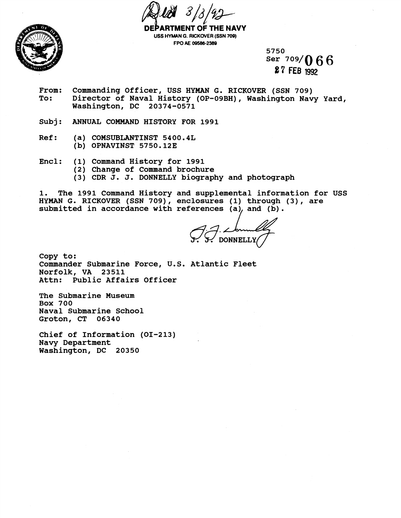

**DEPARTMENT OP THE NAVY USS HYMAN G. RICKOVER (SSN 709) FPO AE 08588-2389** 

> **Ser 709/0 6 6 7 FEB 1992**

- **From: Commanding Officer, USS HYWAN G. RICKOVER (SSN 709) To: Director of Naval History (OP-09BH), Washington Navy Yard, Washington, DC 20374-0571**
- **Subj: ANNUAL COMMAND HISTORY FOR 1991**
- **Ref: (a) COMSUBLANTINST 5400.4L (b) OPNAVINST 5750.123**
- **Encl: (1) Command History for 1991** 
	- **(2) Change of Command brochure**
	- **(3) CDR J. J. DONNELLY biography and photograph**

**1. The 1991 Command History and supplemental information for USS HYMAN G. RICKOVER (SSN 709), emclosures (1) through (3)** , **are**  submitted in accordance with references (a), and (b).

**ONNELLY** 

**Copy to: Commander Submarine Force, U.S. Atlantic Fleet Norfolk, VA 23511 Attn: Public Affairs Officer** 

**The Submarine Museum Box 700 Naval Submarine School Groton, CT 06340** 

**Chief of Information (01-213) Navy Department Washington, DC 20350**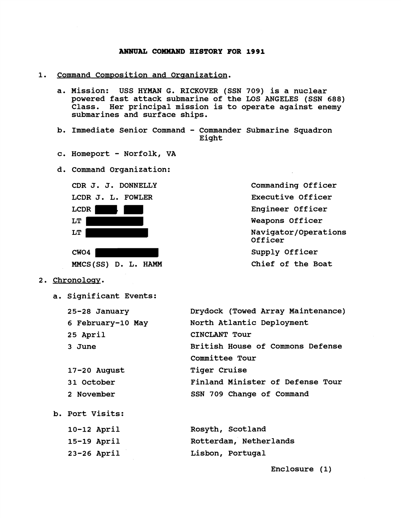## **ANNUAL COMMAND HISTORY FOR 1991**

- 1. Command Composition and Organization.
	- **a. Mission: USS HYMAN G. BICKOVER (SSN 709) is a nuclear powered fast attack submarine of the LOS ANGELES (SSN 688) Class. Her principal mission is to operate against enemy submarines and surface ships.**
	- **b. Immediate Senior Command Commander Submarine Squadron Eight**
	- **c. Homeport Norfolk, VA**
	- **d. Command Organization:**



**Commanding Officer Executive Officer Engineer Officer Weapons Officer Navigator/Operations Officer Supply Officer Chief of the Boat** 

- **2. Chronoloav.** 
	- **a. Significant Events:**

**23-26 April** 

| 25-28 January     | Drydock (Towed Array Maintenance) |  |
|-------------------|-----------------------------------|--|
| 6 February-10 May | North Atlantic Deployment         |  |
| 25 April          | CINCLANT Tour                     |  |
| 3 June            | British House of Commons Defense  |  |
|                   | Committee Tour                    |  |
| $17 - 20$ August  | <b>Tiger Cruise</b>               |  |
| 31 October        | Finland Minister of Defense Tour  |  |
| 2 November        | SSN 709 Change of Command         |  |
| b. Port Visits:   |                                   |  |
| $10-12$ April     | Rosyth, Scotland                  |  |
| 15-19 April       | Rotterdam, Netherlands            |  |

**Lisbon, Portugal** 

**Enclosure (1)**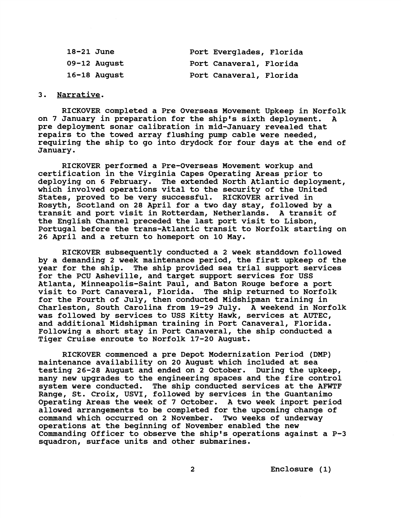| $18-21$ June |              | Port Everglades, Florida |  |
|--------------|--------------|--------------------------|--|
|              | 09-12 August | Port Canaveral, Florida  |  |
|              | 16-18 August | Port Canaveral, Florida  |  |

## **3. Narrative.**

**RICKOVER completed a Pre Overseas Movement Upkeep in Norfolk on 7 January in preparation for the shipls sixth deployment. A pre deployment sonar calibration in mid-January revealed that repairs to the towed array flushing pump cable were needed, requiring the ship to go into drydock for four days at the end of January.** 

**RICKOVER performed a Pre-Overseas Movement workup and certification in the Virginia Capes Operating Areas prior to deploying on 6 February. The extended North Atlantic deployment, which involved operations vital to the security of the United States, proved to be very successful. RICKOVER arrived in Rosyth, Scotland on 28 April for a two day stay, followed by a transit and port visit in Rotterdam, Netherlands. A transit of the English Channel preceded the last port visit to Lisbon, Portugal before the trans-Atlantic transit to Norfolk starting on 26 April and a return to homeport on 10 May.** 

**RICKOVER subsequently conducted a 2 week standdown followed by a demanding 2 week maintenance period, the first upkeep of the year for the ship. The ship provided sea trial support services for the PCU Asheville, and target support services for USS Atlanta, Minneapolis-Saint Paul, and Baton Rouge before a port visit to Port Canaveral, Florida. The ship returned to Norfolk for the Fourth of July, then conducted Midshipman training in Charleston, South Carolina from 19-29 July. A weekend in Norfolk was followed by services to USS Kitty Hawk, services at AUTEC, and additional Midshipman training in Port Canaveral, Florida. Following a short stay in Port Canaveral, the ship conducted a Tiger Cruise enroute to Norfolk 17-20 August.** 

**RICKOVER commenced a pre Depot Modernization Period (DMP) maintenance availability on 20 August which included at sea testing 26-28 August and ended on 2 October. During the upkeep, many new upgrades to the engineering spaces and the fire control system were conducted. The ship conducted services at the AFWTF Range, St. Croix, USVI, followed by services in the Guantanimo Operating Areas the week of 7 October. A two week inport period allowed arrangements to be completed for the upcoming change of command which occurred on 2 November. Two weeks of underway operations at the beginning of November enabled the new Commanding Officer to observe the shipls operations against a P-3 squadron, surface units and other submarines.** 

 $2<sup>1</sup>$